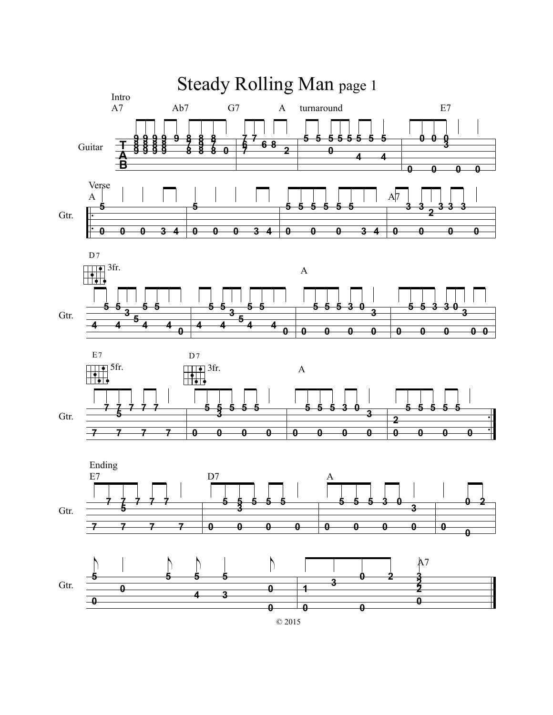